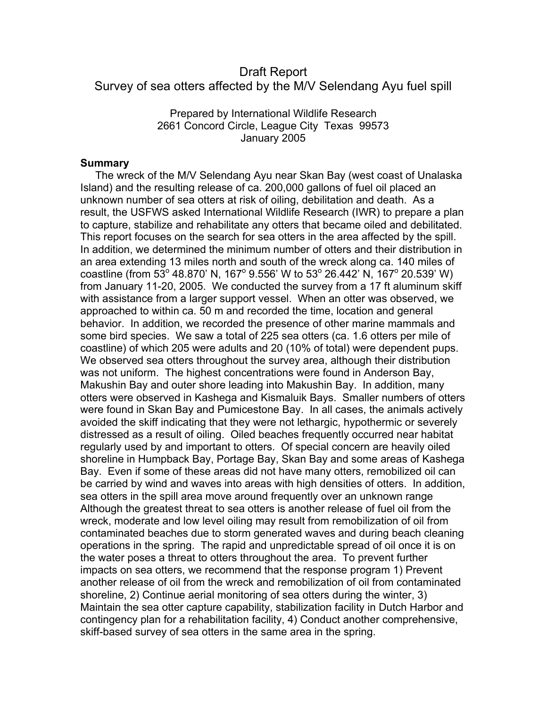# Draft Report Survey of sea otters affected by the M/V Selendang Ayu fuel spill

Prepared by International Wildlife Research 2661 Concord Circle, League City Texas 99573 January 2005

#### **Summary**

The wreck of the M/V Selendang Ayu near Skan Bay (west coast of Unalaska Island) and the resulting release of ca. 200,000 gallons of fuel oil placed an unknown number of sea otters at risk of oiling, debilitation and death. As a result, the USFWS asked International Wildlife Research (IWR) to prepare a plan to capture, stabilize and rehabilitate any otters that became oiled and debilitated. This report focuses on the search for sea otters in the area affected by the spill. In addition, we determined the minimum number of otters and their distribution in an area extending 13 miles north and south of the wreck along ca. 140 miles of coastline (from 53 $^{\circ}$  48.870' N, 167 $^{\circ}$  9.556' W to 53 $^{\circ}$  26.442' N, 167 $^{\circ}$  20.539' W) from January 11-20, 2005. We conducted the survey from a 17 ft aluminum skiff with assistance from a larger support vessel. When an otter was observed, we approached to within ca. 50 m and recorded the time, location and general behavior. In addition, we recorded the presence of other marine mammals and some bird species. We saw a total of 225 sea otters (ca. 1.6 otters per mile of coastline) of which 205 were adults and 20 (10% of total) were dependent pups. We observed sea otters throughout the survey area, although their distribution was not uniform. The highest concentrations were found in Anderson Bay, Makushin Bay and outer shore leading into Makushin Bay. In addition, many otters were observed in Kashega and Kismaluik Bays. Smaller numbers of otters were found in Skan Bay and Pumicestone Bay. In all cases, the animals actively avoided the skiff indicating that they were not lethargic, hypothermic or severely distressed as a result of oiling. Oiled beaches frequently occurred near habitat regularly used by and important to otters. Of special concern are heavily oiled shoreline in Humpback Bay, Portage Bay, Skan Bay and some areas of Kashega Bay. Even if some of these areas did not have many otters, remobilized oil can be carried by wind and waves into areas with high densities of otters. In addition, sea otters in the spill area move around frequently over an unknown range Although the greatest threat to sea otters is another release of fuel oil from the wreck, moderate and low level oiling may result from remobilization of oil from contaminated beaches due to storm generated waves and during beach cleaning operations in the spring. The rapid and unpredictable spread of oil once it is on the water poses a threat to otters throughout the area. To prevent further impacts on sea otters, we recommend that the response program 1) Prevent another release of oil from the wreck and remobilization of oil from contaminated shoreline, 2) Continue aerial monitoring of sea otters during the winter, 3) Maintain the sea otter capture capability, stabilization facility in Dutch Harbor and contingency plan for a rehabilitation facility, 4) Conduct another comprehensive, skiff-based survey of sea otters in the same area in the spring.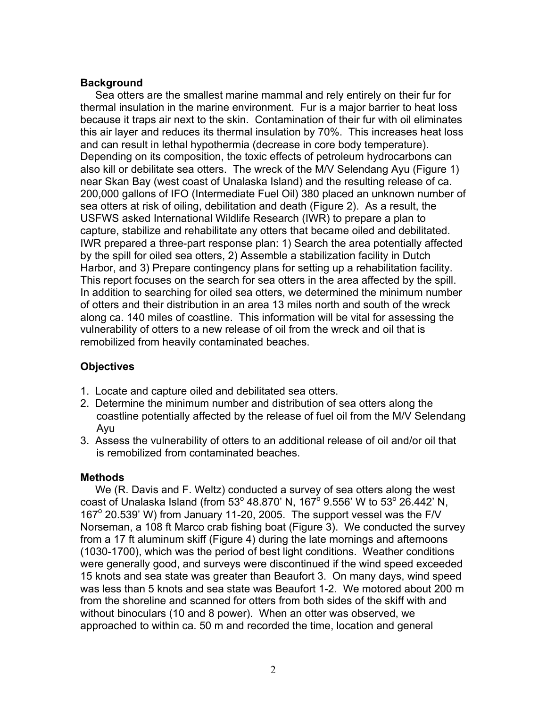## **Background**

 Sea otters are the smallest marine mammal and rely entirely on their fur for thermal insulation in the marine environment. Fur is a major barrier to heat loss because it traps air next to the skin. Contamination of their fur with oil eliminates this air layer and reduces its thermal insulation by 70%. This increases heat loss and can result in lethal hypothermia (decrease in core body temperature). Depending on its composition, the toxic effects of petroleum hydrocarbons can also kill or debilitate sea otters. The wreck of the M/V Selendang Ayu (Figure 1) near Skan Bay (west coast of Unalaska Island) and the resulting release of ca. 200,000 gallons of IFO (Intermediate Fuel Oil) 380 placed an unknown number of sea otters at risk of oiling, debilitation and death (Figure 2). As a result, the USFWS asked International Wildlife Research (IWR) to prepare a plan to capture, stabilize and rehabilitate any otters that became oiled and debilitated. IWR prepared a three-part response plan: 1) Search the area potentially affected by the spill for oiled sea otters, 2) Assemble a stabilization facility in Dutch Harbor, and 3) Prepare contingency plans for setting up a rehabilitation facility. This report focuses on the search for sea otters in the area affected by the spill. In addition to searching for oiled sea otters, we determined the minimum number of otters and their distribution in an area 13 miles north and south of the wreck along ca. 140 miles of coastline. This information will be vital for assessing the vulnerability of otters to a new release of oil from the wreck and oil that is remobilized from heavily contaminated beaches.

# **Objectives**

- 1. Locate and capture oiled and debilitated sea otters.
- 2. Determine the minimum number and distribution of sea otters along the coastline potentially affected by the release of fuel oil from the M/V Selendang Ayu
- 3. Assess the vulnerability of otters to an additional release of oil and/or oil that is remobilized from contaminated beaches.

### **Methods**

 We (R. Davis and F. Weltz) conducted a survey of sea otters along the west coast of Unalaska Island (from 53° 48.870' N, 167<sup>o</sup> 9.556' W to 53° 26.442' N, 167° 20.539' W) from January 11-20, 2005. The support vessel was the F/V Norseman, a 108 ft Marco crab fishing boat (Figure 3). We conducted the survey from a 17 ft aluminum skiff (Figure 4) during the late mornings and afternoons (1030-1700), which was the period of best light conditions. Weather conditions were generally good, and surveys were discontinued if the wind speed exceeded 15 knots and sea state was greater than Beaufort 3. On many days, wind speed was less than 5 knots and sea state was Beaufort 1-2. We motored about 200 m from the shoreline and scanned for otters from both sides of the skiff with and without binoculars (10 and 8 power). When an otter was observed, we approached to within ca. 50 m and recorded the time, location and general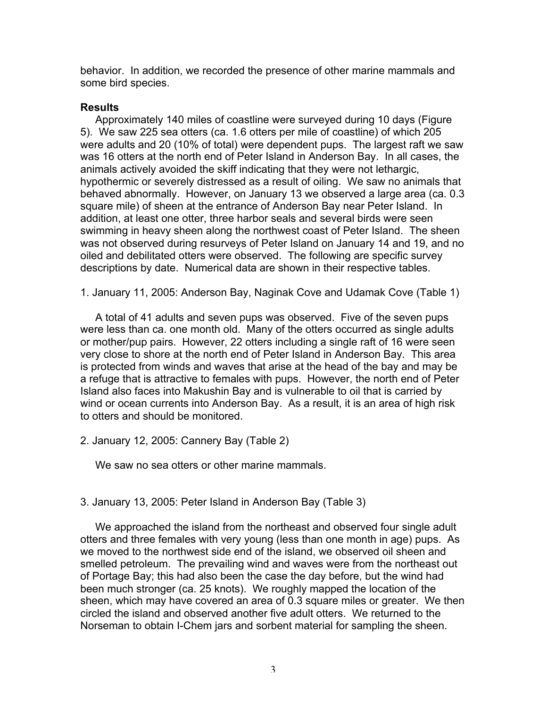behavior. In addition, we recorded the presence of other marine mammals and some bird species.

#### **Results**

 Approximately 140 miles of coastline were surveyed during 10 days (Figure 5). We saw 225 sea otters (ca. 1.6 otters per mile of coastline) of which 205 were adults and 20 (10% of total) were dependent pups. The largest raft we saw was 16 otters at the north end of Peter Island in Anderson Bay. In all cases, the animals actively avoided the skiff indicating that they were not lethargic, hypothermic or severely distressed as a result of oiling. We saw no animals that behaved abnormally. However, on January 13 we observed a large area (ca. 0.3 square mile) of sheen at the entrance of Anderson Bay near Peter Island. In addition, at least one otter, three harbor seals and several birds were seen swimming in heavy sheen along the northwest coast of Peter Island. The sheen was not observed during resurveys of Peter Island on January 14 and 19, and no oiled and debilitated otters were observed. The following are specific survey descriptions by date. Numerical data are shown in their respective tables.

1. January 11, 2005: Anderson Bay, Naginak Cove and Udamak Cove (Table 1)

 A total of 41 adults and seven pups was observed. Five of the seven pups were less than ca. one month old. Many of the otters occurred as single adults or mother/pup pairs. However, 22 otters including a single raft of 16 were seen very close to shore at the north end of Peter Island in Anderson Bay. This area is protected from winds and waves that arise at the head of the bay and may be a refuge that is attractive to females with pups. However, the north end of Peter Island also faces into Makushin Bay and is vulnerable to oil that is carried by wind or ocean currents into Anderson Bay. As a result, it is an area of high risk to otters and should be monitored.

2. January 12, 2005: Cannery Bay (Table 2)

We saw no sea otters or other marine mammals.

3. January 13, 2005: Peter Island in Anderson Bay (Table 3)

 We approached the island from the northeast and observed four single adult otters and three females with very young (less than one month in age) pups. As we moved to the northwest side end of the island, we observed oil sheen and smelled petroleum. The prevailing wind and waves were from the northeast out of Portage Bay; this had also been the case the day before, but the wind had been much stronger (ca. 25 knots). We roughly mapped the location of the sheen, which may have covered an area of 0.3 square miles or greater. We then circled the island and observed another five adult otters. We returned to the Norseman to obtain I-Chem jars and sorbent material for sampling the sheen.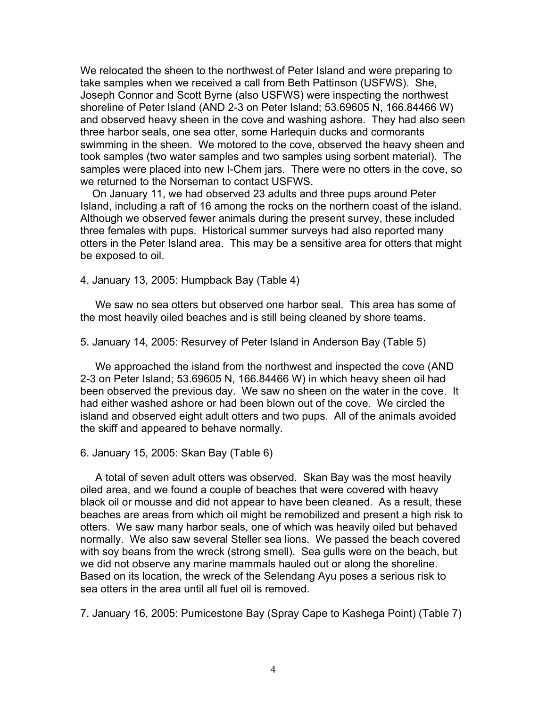We relocated the sheen to the northwest of Peter Island and were preparing to take samples when we received a call from Beth Pattinson (USFWS). She, Joseph Connor and Scott Byrne (also USFWS) were inspecting the northwest shoreline of Peter Island (AND 2-3 on Peter Island; 53.69605 N, 166.84466 W) and observed heavy sheen in the cove and washing ashore. They had also seen three harbor seals, one sea otter, some Harlequin ducks and cormorants swimming in the sheen. We motored to the cove, observed the heavy sheen and took samples (two water samples and two samples using sorbent material). The samples were placed into new I-Chem jars. There were no otters in the cove, so we returned to the Norseman to contact USFWS.

 On January 11, we had observed 23 adults and three pups around Peter Island, including a raft of 16 among the rocks on the northern coast of the island. Although we observed fewer animals during the present survey, these included three females with pups. Historical summer surveys had also reported many otters in the Peter Island area. This may be a sensitive area for otters that might be exposed to oil.

4. January 13, 2005: Humpback Bay (Table 4)

 We saw no sea otters but observed one harbor seal. This area has some of the most heavily oiled beaches and is still being cleaned by shore teams.

5. January 14, 2005: Resurvey of Peter Island in Anderson Bay (Table 5)

 We approached the island from the northwest and inspected the cove (AND 2-3 on Peter Island; 53.69605 N, 166.84466 W) in which heavy sheen oil had been observed the previous day. We saw no sheen on the water in the cove. It had either washed ashore or had been blown out of the cove. We circled the island and observed eight adult otters and two pups. All of the animals avoided the skiff and appeared to behave normally.

6. January 15, 2005: Skan Bay (Table 6)

 A total of seven adult otters was observed. Skan Bay was the most heavily oiled area, and we found a couple of beaches that were covered with heavy black oil or mousse and did not appear to have been cleaned. As a result, these beaches are areas from which oil might be remobilized and present a high risk to otters. We saw many harbor seals, one of which was heavily oiled but behaved normally. We also saw several Steller sea lions. We passed the beach covered with soy beans from the wreck (strong smell). Sea gulls were on the beach, but we did not observe any marine mammals hauled out or along the shoreline. Based on its location, the wreck of the Selendang Ayu poses a serious risk to sea otters in the area until all fuel oil is removed.

7. January 16, 2005: Pumicestone Bay (Spray Cape to Kashega Point) (Table 7)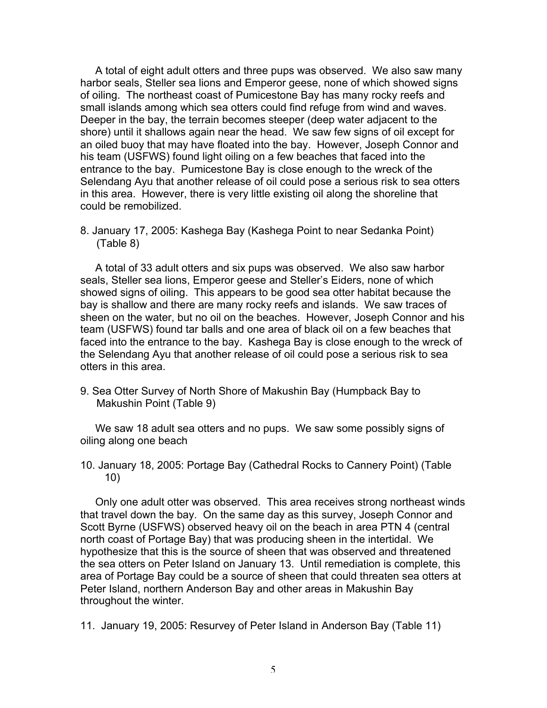A total of eight adult otters and three pups was observed. We also saw many harbor seals, Steller sea lions and Emperor geese, none of which showed signs of oiling. The northeast coast of Pumicestone Bay has many rocky reefs and small islands among which sea otters could find refuge from wind and waves. Deeper in the bay, the terrain becomes steeper (deep water adjacent to the shore) until it shallows again near the head. We saw few signs of oil except for an oiled buoy that may have floated into the bay. However, Joseph Connor and his team (USFWS) found light oiling on a few beaches that faced into the entrance to the bay. Pumicestone Bay is close enough to the wreck of the Selendang Ayu that another release of oil could pose a serious risk to sea otters in this area. However, there is very little existing oil along the shoreline that could be remobilized.

8. January 17, 2005: Kashega Bay (Kashega Point to near Sedanka Point) (Table 8)

 A total of 33 adult otters and six pups was observed. We also saw harbor seals, Steller sea lions, Emperor geese and Steller's Eiders, none of which showed signs of oiling. This appears to be good sea otter habitat because the bay is shallow and there are many rocky reefs and islands. We saw traces of sheen on the water, but no oil on the beaches. However, Joseph Connor and his team (USFWS) found tar balls and one area of black oil on a few beaches that faced into the entrance to the bay. Kashega Bay is close enough to the wreck of the Selendang Ayu that another release of oil could pose a serious risk to sea otters in this area.

9. Sea Otter Survey of North Shore of Makushin Bay (Humpback Bay to Makushin Point (Table 9)

 We saw 18 adult sea otters and no pups. We saw some possibly signs of oiling along one beach

10. January 18, 2005: Portage Bay (Cathedral Rocks to Cannery Point) (Table 10)

 Only one adult otter was observed. This area receives strong northeast winds that travel down the bay. On the same day as this survey, Joseph Connor and Scott Byrne (USFWS) observed heavy oil on the beach in area PTN 4 (central north coast of Portage Bay) that was producing sheen in the intertidal. We hypothesize that this is the source of sheen that was observed and threatened the sea otters on Peter Island on January 13. Until remediation is complete, this area of Portage Bay could be a source of sheen that could threaten sea otters at Peter Island, northern Anderson Bay and other areas in Makushin Bay throughout the winter.

11. January 19, 2005: Resurvey of Peter Island in Anderson Bay (Table 11)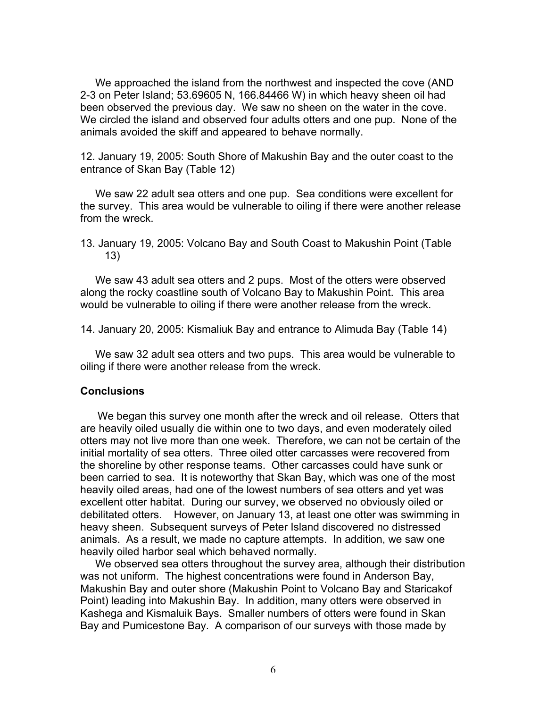We approached the island from the northwest and inspected the cove (AND 2-3 on Peter Island; 53.69605 N, 166.84466 W) in which heavy sheen oil had been observed the previous day. We saw no sheen on the water in the cove. We circled the island and observed four adults otters and one pup. None of the animals avoided the skiff and appeared to behave normally.

12. January 19, 2005: South Shore of Makushin Bay and the outer coast to the entrance of Skan Bay (Table 12)

 We saw 22 adult sea otters and one pup. Sea conditions were excellent for the survey. This area would be vulnerable to oiling if there were another release from the wreck.

13. January 19, 2005: Volcano Bay and South Coast to Makushin Point (Table 13)

 We saw 43 adult sea otters and 2 pups. Most of the otters were observed along the rocky coastline south of Volcano Bay to Makushin Point. This area would be vulnerable to oiling if there were another release from the wreck.

14. January 20, 2005: Kismaliuk Bay and entrance to Alimuda Bay (Table 14)

 We saw 32 adult sea otters and two pups. This area would be vulnerable to oiling if there were another release from the wreck.

#### **Conclusions**

 We began this survey one month after the wreck and oil release. Otters that are heavily oiled usually die within one to two days, and even moderately oiled otters may not live more than one week. Therefore, we can not be certain of the initial mortality of sea otters. Three oiled otter carcasses were recovered from the shoreline by other response teams. Other carcasses could have sunk or been carried to sea. It is noteworthy that Skan Bay, which was one of the most heavily oiled areas, had one of the lowest numbers of sea otters and yet was excellent otter habitat. During our survey, we observed no obviously oiled or debilitated otters. However, on January 13, at least one otter was swimming in heavy sheen. Subsequent surveys of Peter Island discovered no distressed animals. As a result, we made no capture attempts. In addition, we saw one heavily oiled harbor seal which behaved normally.

 We observed sea otters throughout the survey area, although their distribution was not uniform. The highest concentrations were found in Anderson Bay, Makushin Bay and outer shore (Makushin Point to Volcano Bay and Staricakof Point) leading into Makushin Bay. In addition, many otters were observed in Kashega and Kismaluik Bays. Smaller numbers of otters were found in Skan Bay and Pumicestone Bay. A comparison of our surveys with those made by